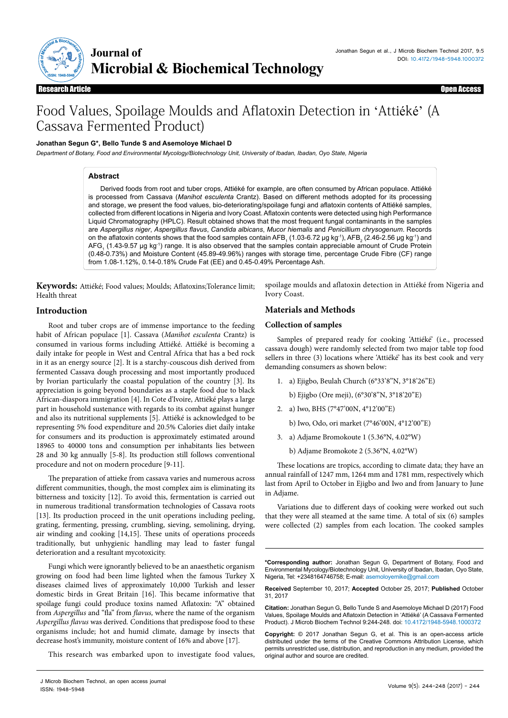

**Journal of Microbial & Biochemical Technology** 

Research Article Open Access

# Food Values, Spoilage Moulds and Aflatoxin Detection in 'Attiéké' (A Cassava Fermented Product)

## **Jonathan Segun G\*, Bello Tunde S and Asemoloye Michael D**

*Department of Botany, Food and Environmental Mycology/Biotechnology Unit, University of Ibadan, Ibadan, Oyo State, Nigeria*

# **Abstract**

Derived foods from root and tuber crops, Attiéké for example, are often consumed by African populace. Attiéké is processed from Cassava (*Manihot esculenta* Crantz). Based on different methods adopted for its processing and storage, we present the food values, bio-deteriorating/spoilage fungi and aflatoxin contents of Attiéké samples, collected from different locations in Nigeria and Ivory Coast. Aflatoxin contents were detected using high Performance Liquid Chromatography (HPLC). Result obtained shows that the most frequent fungal contaminants in the samples are *Aspergillus niger*, *Aspergillus flavus*, *Candida albicans*, *Mucor hiemalis* and *Penicillium chrysogenum*. Records on the aflatoxin contents shows that the food samples contain AFB<sub>1</sub> (1.03-6.72 µg kg<sup>-t</sup>), AFB<sub>2</sub> (2.46-2.56 µg kg<sup>-t</sup>) and  $\mathsf{AFG}_{_1}$ (1.43-9.57  $\mu$ g kg<sup>-1</sup>) range. It is also observed that the samples contain appreciable amount of Crude Protein (0.48-0.73%) and Moisture Content (45.89-49.96%) ranges with storage time, percentage Crude Fibre (CF) range from 1.08-1.12%, 0.14-0.18% Crude Fat (EE) and 0.45-0.49% Percentage Ash.

**Keywords:** Attiéké; Food values; Moulds; Aflatoxins;Tolerance limit; Health threat

#### spoilage moulds and aflatoxin detection in Attiéké from Nigeria and Ivory Coast.

# **Introduction**

Root and tuber crops are of immense importance to the feeding habit of African populace [1]. Cassava (*Manihot esculenta* Crantz) is consumed in various forms including Attiéké. Attiéké is becoming a daily intake for people in West and Central Africa that has a bed rock in it as an energy source [2]. It is a starchy-couscous dish derived from fermented Cassava dough processing and most importantly produced by Ivorian particularly the coastal population of the country [3]. Its appreciation is going beyond boundaries as a staple food due to black African-diaspora immigration [4]. In Cote d'Ivoire, Attiéké plays a large part in household sustenance with regards to its combat against hunger and also its nutritional supplements [5]. Attiéké is acknowledged to be representing 5% food expenditure and 20.5% Calories diet daily intake for consumers and its production is approximately estimated around 18965 to 40000 tons and consumption per inhabitants lies between 28 and 30 kg annually [5-8]. Its production still follows conventional procedure and not on modern procedure [9-11].

The preparation of attieke from cassava varies and numerous across different communities, though, the most complex aim is eliminating its bitterness and toxicity [12]. To avoid this, fermentation is carried out in numerous traditional transformation technologies of Cassava roots [13]. Its production proceed in the unit operations including peeling, grating, fermenting, pressing, crumbling, sieving, semolining, drying, air winding and cooking [14,15]. These units of operations proceeds traditionally, but unhygienic handling may lead to faster fungal deterioration and a resultant mycotoxicity.

Fungi which were ignorantly believed to be an anaesthetic organism growing on food had been lime lighted when the famous Turkey X diseases claimed lives of approximately 10,000 Turkish and lesser domestic birds in Great Britain [16]. This became informative that spoilage fungi could produce toxins named Aflatoxin: "A" obtained from *Aspergillus* and "fla" from *flavus,* where the name of the organism *Aspergillus flavus* was derived*.* Conditions that predispose food to these organisms include; hot and humid climate, damage by insects that decrease host's immunity, moisture content of 16% and above [17].

This research was embarked upon to investigate food values,

**Materials and Methods**

# **Collection of samples**

Samples of prepared ready for cooking 'Attiéké' (i.e., processed cassava dough) were randomly selected from two major table top food sellers in three (3) locations where 'Attiéké' has its best cook and very demanding consumers as shown below:

- 1. a) Ejigbo, Beulah Church (6°33'8''N, 3°18'26''E)
	- b) Ejigbo (Ore meji), (6°30'8''N, 3°18'20''E)
- 2. a) Iwo, BHS (7°47'00N, 4°12'00''E)
	- b) Iwo, Odo, ori market (7°46'00N, 4°12'00''E)
- 3. a) Adjame Bromokoute 1 (5.36°N, 4.02°W)
	- b) Adjame Bromokote 2 (5.36°N, 4.02°W)

These locations are tropics, according to climate data; they have an annual rainfall of 1247 mm, 1264 mm and 1781 mm, respectively which last from April to October in Ejigbo and Iwo and from January to June in Adjame.

Variations due to different days of cooking were worked out such that they were all steamed at the same time. A total of six (6) samples were collected (2) samples from each location. The cooked samples

**\*Corresponding author:** Jonathan Segun G, Department of Botany, Food and Environmental Mycology/Biotechnology Unit, University of Ibadan, Ibadan, Oyo State, Nigeria, Tel: +2348164746758; E-mail: asemoloyemike@gmail.com

**Received** September 10, 2017; **Accepted** October 25, 2017; **Published** October 31, 2017

**Citation:** Jonathan Segun G, Bello Tunde S and Asemoloye Michael D (2017) Food Values, Spoilage Moulds and Aflatoxin Detection in 'Attiéké' (A Cassava Fermented Product). J Microb Biochem Technol 9:244-248. doi: 10.4172/1948-5948.1000372

**Copyright:** © 2017 Jonathan Segun G, et al. This is an open-access article distributed under the terms of the Creative Commons Attribution License, which permits unrestricted use, distribution, and reproduction in any medium, provided the original author and source are credited.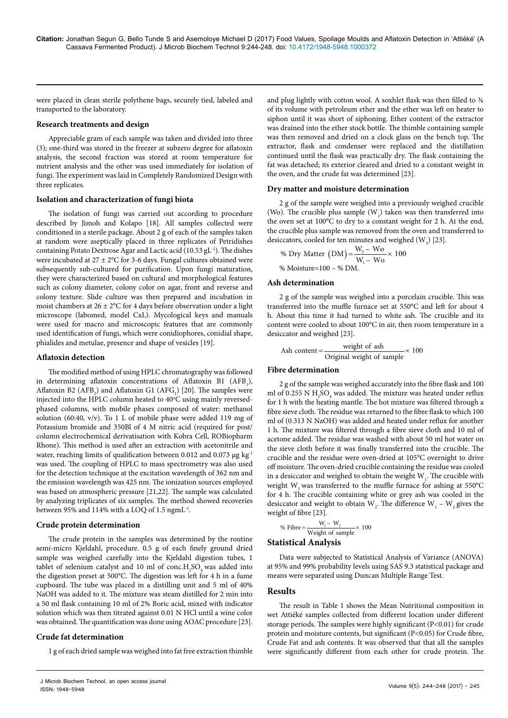were placed in clean sterile polythene bags, securely tied, labeled and transported to the laboratory.

#### **Research treatments and design**

Appreciable gram of each sample was taken and divided into three (3); one-third was stored in the freezer at subzero degree for aflatoxin analysis, the second fraction was stored at room temperature for nutrient analysis and the other was used immediately for isolation of fungi. The experiment was laid in Completely Randomized Design with three replicates.

#### **Isolation and characterization of fungi biota**

The isolation of fungi was carried out according to procedure described by Jimoh and Kolapo [18]. All samples collected were conditioned in a sterile package. About 2 g of each of the samples taken at random were aseptically placed in three replicates of Petridishes containing Potato Dextrose Agar and Lactic acid (10.53 gL<sup>-1</sup>). The dishes were incubated at 27 ± 2°C for 3-6 days. Fungal cultures obtained were subsequently sub-cultured for purification. Upon fungi maturation, they were characterized based on cultural and morphological features such as colony diameter, colony color on agar, front and reverse and colony texture. Slide culture was then prepared and incubation in moist chambers at  $26 \pm 2^{\circ}$ C for 4 days before observation under a light microscope (labomed, model CxL). Mycological keys and manuals were used for macro and microscopic features that are commonly used identification of fungi, which were conidiophores, conidial shape, phialides and metulae, presence and shape of vesicles [19].

#### **Aflatoxin detection**

The modified method of using HPLC chromatography was followed in determining aflatoxin concentrations of Aflatoxin B1  $(AFB<sub>1</sub>)$ , Aflatoxin B2 ( $AFB_2$ ) and Aflatoxin G1 ( $AFG_1$ ) [20]. The samples were injected into the HPLC column heated to 40°C using mainly reversedphased columns, with mobile phases composed of water: methanol solution (60:40, v/v). To 1 L of mobile phase were added 119 mg of Potassium bromide and 350Bl of 4 M nitric acid (required for post/ column electrochemical derivatisation with Kobra Cell, ROBiopharm Rhone). This method is used after an extraction with acetonitrile and water, reaching limits of qualification between 0.012 and 0.073  $\mu$ g kg<sup>-1</sup> was used. The coupling of HPLC to mass spectrometry was also used for the detection technique at the excitation wavelength of 362 nm and the emission wavelength was 425 nm. The ionization sources employed was based on atmospheric pressure [21,22]. The sample was calculated by analyzing triplicates of six samples. The method showed recoveries between 95% and 114% with a LOQ of 1.5 ngmL-1.

#### **Crude protein determination**

The crude protein in the samples was determined by the routine semi-micro Kjeldahl, procedure. 0.5 g of each finely ground dried sample was weighed carefully into the Kjeldahl digestion tubes, 1 tablet of selenium catalyst and 10 ml of  $conc.H_{2}SO_{4}$  was added into the digestion preset at 500°C. The digestion was left for 4 h in a fume cupboard. The tube was placed in a distilling unit and 5 ml of 40% NaOH was added to it. The mixture was steam distilled for 2 min into a 50 ml flask containing 10 ml of 2% Boric acid, mixed with indicator solution which was then titrated against 0.01 N HCl until a wine color was obtained. The quantification was done using AOAC procedure [23].

#### **Crude fat determination**

1 g of each dried sample was weighed into fat free extraction thimble

and plug lightly with cotton wool. A soxhlet flask was then filled to  $\frac{3}{4}$ of its volume with petroleum ether and the ether was left on heater to siphon until it was short of siphoning. Ether content of the extractor was drained into the ether stock bottle. The thimble containing sample was then removed and dried on a clock glass on the bench top. The extractor, flask and condenser were replaced and the distillation continued until the flask was practically dry. The flask containing the fat was detached; its exterior cleared and dried to a constant weight in the oven, and the crude fat was determined [23].

#### **Dry matter and moisture determination**

2 g of the sample were weighed into a previously weighed crucible (Wo). The crucible plus sample  $(W_1)$  taken was then transferred into the oven set at 100°C to dry to a constant weight for 2 h. At the end, the crucible plus sample was removed from the oven and transferred to desiccators, cooled for ten minutes and weighed  $(W_3)$  [23].

% Dry Matter (DM) = 
$$
\frac{W_3 - W_0}{W_1 - W_0} \times 100
$$

% Moisture=100 – % DM.

# **Ash determination**

2 g of the sample was weighed into a porcelain crucible. This was transferred into the muffle furnace set at 550°C and left for about 4 h. About this time it had turned to white ash. The crucible and its content were cooled to about 100°C in air, then room temperature in a desiccator and weighed [23].

$$
Ash content = \frac{weight of ash}{Original weight of sample} \times 100
$$

#### **Fibre determination**

2 g of the sample was weighed accurately into the fibre flask and 100 ml of 0.255 N  $H_2SO_4$  was added. The mixture was heated under reflux for 1 h with the heating mantle. The hot mixture was filtered through a fibre sieve cloth. The residue was returned to the fibre flask to which 100 ml of (0.313 N NaOH) was added and heated under reflux for another 1 h. The mixture was filtered through a fibre sieve cloth and 10 ml of acetone added. The residue was washed with about 50 ml hot water on the sieve cloth before it was finally transferred into the crucible. The crucible and the residue were oven-dried at 105°C overnight to drive off moisture. The oven-dried crucible containing the residue was cooled in a desiccator and weighed to obtain the weight  $W_1$ . The crucible with weight W<sub>1</sub> was transferred to the muffle furnace for ashing at 550°C for 4 h. The crucible containing white or grey ash was cooled in the desiccator and weight to obtain  $W_2$ . The difference  $W_1 - W_2$  gives the weight of fibre [23].

% Fibre = 
$$
\frac{W_1 - W_2}{\text{Weight of sample}} \times 100
$$

#### **Statistical Analysis**

Data were subjected to Statistical Analysis of Variance (ANOVA) at 95% and 99% probability levels using SAS 9.3 statistical package and means were separated using Duncan Multiple Range Test.

## **Results**

The result in Table 1 shows the Mean Nutritional composition in wet Attiéké samples collected from different location under different storage periods. The samples were highly significant (P<0.01) for crude protein and moisture contents, but significant (P<0.05) for Crude fibre, Crude Fat and ash contents. It was observed that that all the samples were significantly different from each other for crude protein. The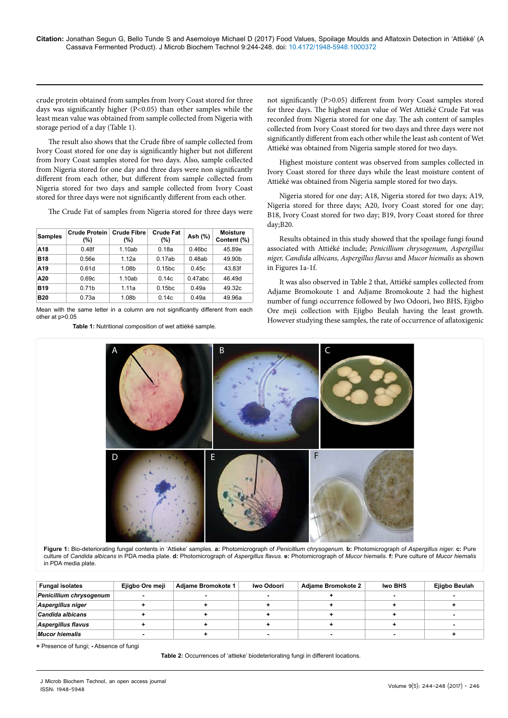crude protein obtained from samples from Ivory Coast stored for three days was significantly higher (P<0.05) than other samples while the least mean value was obtained from sample collected from Nigeria with storage period of a day (Table 1).

The result also shows that the Crude fibre of sample collected from Ivory Coast stored for one day is significantly higher but not different from Ivory Coast samples stored for two days. Also, sample collected from Nigeria stored for one day and three days were non significantly different from each other, but different from sample collected from Nigeria stored for two days and sample collected from Ivory Coast stored for three days were not significantly different from each other.

The Crude Fat of samples from Nigeria stored for three days were

| <b>Samples</b>  | <b>Crude Protein</b><br>(%) | <b>Crude Fibre</b><br>(%) | <b>Crude Fat</b><br>(%) | Ash (%)            | <b>Moisture</b><br>Content (%) |
|-----------------|-----------------------------|---------------------------|-------------------------|--------------------|--------------------------------|
| A <sub>18</sub> | 0.48f                       | 1.10ab                    | 0.18a                   | 0.46 <sub>bc</sub> | 45.89e                         |
| <b>B18</b>      | 0.56e                       | 1.12a                     | 0.17ab                  | 0.48ab             | 49.90b                         |
| A19             | 0.61d                       | 1.08b                     | 0.15 <sub>bc</sub>      | 0.45c              | 43.83f                         |
| A20             | 0.69c                       | 1.10ab                    | 0.14c                   | 0.47abc            | 46.49d                         |
| <b>B19</b>      | 0.71 <sub>b</sub>           | 1.11a                     | 0.15 <sub>bc</sub>      | 0.49a              | 49.32c                         |
| <b>B20</b>      | 0.73a                       | 1.08b                     | 0.14c                   | 0.49a              | 49.96a                         |

Mean with the same letter in a column are not significantly different from each other at p>0.05

**Table 1:** Nutritional composition of wet attiéké sample.

not significantly (P>0.05) different from Ivory Coast samples stored for three days. The highest mean value of Wet Attiéké Crude Fat was recorded from Nigeria stored for one day. The ash content of samples collected from Ivory Coast stored for two days and three days were not significantly different from each other while the least ash content of Wet Attiéké was obtained from Nigeria sample stored for two days.

Highest moisture content was observed from samples collected in Ivory Coast stored for three days while the least moisture content of Attiéké was obtained from Nigeria sample stored for two days.

Nigeria stored for one day; A18, Nigeria stored for two days; A19, Nigeria stored for three days; A20, Ivory Coast stored for one day; B18, Ivory Coast stored for two day; B19, Ivory Coast stored for three day;B20.

Results obtained in this study showed that the spoilage fungi found associated with Attiéké include; *Penicillium chrysogenum, Aspergillus niger, Candida albicans, Aspergillus flavus* and *Mucor hiemalis* as shown in Figures 1a-1f.

It was also observed in Table 2 that, Attiéké samples collected from Adjame Bromokoute 1 and Adjame Bromokoute 2 had the highest number of fungi occurrence followed by Iwo Odoori, Iwo BHS, Ejigbo Ore meji collection with Ejigbo Beulah having the least growth. However studying these samples, the rate of occurrence of aflatoxigenic



**Figure 1:** Bio-deteriorating fungal contents in 'Attieke' samples. **a:** Photomicrograph of *Penicillium chrysogenum.* **b:** Photomicrograph of *Aspergillus niger.* **c:** Pure culture of *Candida albicans* in PDA media plate. **d:** Photomicrograph of *Aspergillus flavus.* **e:** Photomicrograph of *Mucor hiemalis.* **f:** Pure culture of *Mucor hiemalis*  in PDA media plate.

| <b>Fungal isolates</b>  | Ejigbo Ore meji | <b>Adjame Bromokote 1</b> | Iwo Odoori | <b>Adiame Bromokote 2</b> | Iwo BHS | Ejigbo Beulah |
|-------------------------|-----------------|---------------------------|------------|---------------------------|---------|---------------|
| Penicillium chrysogenum |                 |                           |            |                           |         |               |
| Aspergillus niger       |                 |                           |            |                           |         |               |
| Candida albicans        |                 |                           |            |                           |         |               |
| Aspergillus flavus      |                 |                           |            |                           |         |               |
| <b>Mucor hiemalis</b>   |                 |                           |            |                           |         |               |

**+** Presence of fungi; **-** Absence of fungi

**Table 2:** Occurrences of 'attieke' biodeteriorating fungi in different locations.

Volume 9(5): 244-248 (2017) - 246<br>John 1949 Feeds (2017) - 246 ISSN: 1948-5948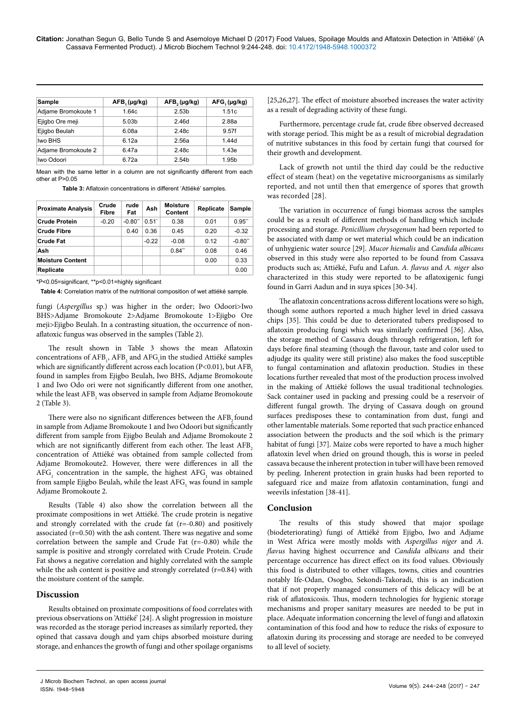| <b>Sample</b>       | AFB, (µg/kg)      | $AFB, (\mu g/kg)$ | $AFG1(\mu g/kg)$ |  |
|---------------------|-------------------|-------------------|------------------|--|
| Adjame Bromokoute 1 | 1.64c             | 2.53 <sub>b</sub> | 1.51c            |  |
| Ejigbo Ore meji     | 5.03 <sub>b</sub> | 2.46d             | 2.88a            |  |
| Ejigbo Beulah       | 6.08a<br>2.48c    |                   | 9.57f            |  |
| Iwo BHS             | 6.12a             | 2.56a             | 1.44d            |  |
| Adjame Bromokoute 2 | 6.47a             | 2.48c             | 1.43e            |  |
| Iwo Odoori          | 6.72a             | 2.54 <sub>b</sub> | 1.95b            |  |

Mean with the same letter in a column are not significantly different from each other at P>0.05

**Table 3:** Aflatoxin concentrations in different 'Attiéké' samples.

| <b>Proximate Analysis</b> | Crude<br>Fibre | rude<br>Fat | Ash            | <b>Moisture</b><br><b>Content</b> | Replicate | Sample                |
|---------------------------|----------------|-------------|----------------|-----------------------------------|-----------|-----------------------|
| <b>Crude Protein</b>      | $-0.20$        | $-0.80"$    | $0.51^{\circ}$ | 0.38                              | 0.01      | 0.95"                 |
| <b>Crude Fibre</b>        |                | 0.40        | 0.36           | 0.45                              | 0.20      | $-0.32$               |
| <b>Crude Fat</b>          |                |             | $-0.22$        | $-0.08$                           | 0.12      | $-0.80$ <sup>**</sup> |
| Ash                       |                |             |                | 0.84"                             | 0.08      | 0.46                  |
| <b>Moisture Content</b>   |                |             |                |                                   | 0.00      | 0.33                  |
| Replicate                 |                |             |                |                                   |           | 0.00                  |

\*P<0.05=significant, \*\*p<0.01=highly significant

**Table 4:** Correlation matrix of the nutritional composition of wet attiéké sample.

fungi (*Aspergillus* sp.) was higher in the order; Iwo Odoori>Iwo BHS>Adjame Bromokoute 2>Adjame Bromokoute 1>Ejigbo Ore meji>Ejigbo Beulah. In a contrasting situation, the occurrence of nonaflatoxic fungus was observed in the samples (Table 2).

The result shown in Table 3 shows the mean Aflatoxin concentrations of  $AFB_1$ ,  $AFB_2$  and  $AFG_1$  in the studied Attiéké samples which are significantly different across each location (P<0.01), but AFB, found in samples from Ejigbo Beulah, Iwo BHS, Adjame Bromokoute 1 and Iwo Odo ori were not significantly different from one another, while the least  $\rm{AFB}_{1}$  was observed in sample from Adjame Bromokoute 2 (Table 3).

There were also no significant differences between the AFB<sub>2</sub> found in sample from Adjame Bromokoute 1 and Iwo Odoori but significantly different from sample from Ejigbo Beulah and Adjame Bromokoute 2 which are not significantly different from each other. The least AFB, concentration of Attiéké was obtained from sample collected from Adjame Bromokoute2. However, there were differences in all the  $\text{AFG}_{1}$  concentration in the sample, the highest  $\text{AFG}_{1}$  was obtained from sample Ejigbo Beulah, while the least  $\rm{AFG}_{1}$  was found in sample Adjame Bromokoute 2.

Results (Table 4) also show the correlation between all the proximate compositions in wet Attiéké. The crude protein is negative and strongly correlated with the crude fat  $(r=-0.80)$  and positively associated (r=0.50) with the ash content. There was negative and some correlation between the sample and Crude Fat (r=-0.80) while the sample is positive and strongly correlated with Crude Protein. Crude Fat shows a negative correlation and highly correlated with the sample while the ash content is positive and strongly correlated  $(r=0.84)$  with the moisture content of the sample.

#### **Discussion**

Results obtained on proximate compositions of food correlates with previous observations on 'Attiéké' [24]. A slight progression in moisture was recorded as the storage period increases as similarly reported, they opined that cassava dough and yam chips absorbed moisture during storage, and enhances the growth of fungi and other spoilage organisms

[25,26,27]. The effect of moisture absorbed increases the water activity as a result of degrading activity of these fungi.

Furthermore, percentage crude fat, crude fibre observed decreased with storage period. This might be as a result of microbial degradation of nutritive substances in this food by certain fungi that coursed for their growth and development.

Lack of growth not until the third day could be the reductive effect of steam (heat) on the vegetative microorganisms as similarly reported, and not until then that emergence of spores that growth was recorded [28].

The variation in occurrence of fungi biomass across the samples could be as a result of different methods of handling which include processing and storage. *Penicillium chrysogenum* had been reported to be associated with damp or wet material which could be an indication of unhygienic water source [29]. *Mucor hiemalis* and *Candida albicans*  observed in this study were also reported to be found from Cassava products such as; Attiéké, Fufu and Lafun. *A. flavus* and *A. niger* also characterized in this study were reported to be aflatoxigenic fungi found in Garri Aadun and in suya spices [30-34].

The aflatoxin concentrations across different locations were so high, though some authors reported a much higher level in dried cassava chips [35]. This could be due to deteriorated tubers predisposed to aflatoxin producing fungi which was similarly confirmed [36]. Also, the storage method of Cassava dough through refrigeration, left for days before final steaming (though the flavour, taste and color used to adjudge its quality were still pristine) also makes the food susceptible to fungal contamination and aflatoxin production. Studies in these locations further revealed that most of the production process involved in the making of Attiéké follows the usual traditional technologies. Sack container used in packing and pressing could be a reservoir of different fungal growth. The drying of Cassava dough on ground surfaces predisposes these to contamination from dust, fungi and other lamentable materials. Some reported that such practice enhanced association between the products and the soil which is the primary habitat of fungi [37]. Maize cobs were reported to have a much higher aflatoxin level when dried on ground though, this is worse in peeled cassava because the inherent protection in tuber will have been removed by peeling. Inherent protection in grain husks had been reported to safeguard rice and maize from aflatoxin contamination, fungi and weevils infestation [38-41].

# **Conclusion**

The results of this study showed that major spoilage (biodeteriorating) fungi of Attiéké from Ejigbo, Iwo and Adjame in West Africa were mostly molds with *Aspergillus niger* and *A. flavus* having highest occurrence and *Candida albicans* and their percentage occurrence has direct effect on its food values. Obviously this food is distributed to other villages, towns, cities and countries notably Ife-Odan, Osogbo, Sekondi-Takoradi, this is an indication that if not properly managed consumers of this delicacy will be at risk of aflatoxicosis. Thus, modern technologies for hygienic storage mechanisms and proper sanitary measures are needed to be put in place. Adequate information concerning the level of fungi and aflatoxin contamination of this food and how to reduce the risks of exposure to aflatoxin during its processing and storage are needed to be conveyed to all level of society.

Volume 9(5): 244-248 (2017) - 247 J. (2017) - 247 J. (2017) - 247 J. (2017) - 247 J. (2017) - 247 J. (2017) - 247 J. (2017) - 247 J. (2017) - 247 J. (2017) - 247 J. (2017) - 247 J. (2017) - 247 J. (2017) - 247 J. (2017) - ISSN: 1948-5948